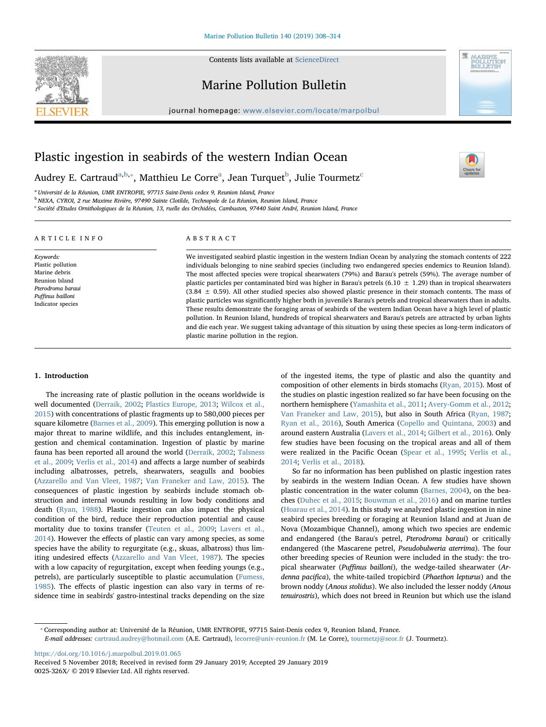

Contents lists available at [ScienceDirect](http://www.sciencedirect.com/science/journal/0025326X)

## Marine Pollution Bulletin

journal homepage: [www.elsevier.com/locate/marpolbul](https://www.elsevier.com/locate/marpolbul)



 $\frac{1}{\sqrt{2}}$ 

# Plastic ingestion in seabirds of the western Indian Ocean

Audrey E. C[a](#page-0-0)rtraud<sup>a[,b,](#page-0-1)</sup>\*, Matthieu Le Corre<sup>a</sup>, Jean Turquet<sup>[b](#page-0-1)</sup>, Julie Tourmetz<sup>[c](#page-0-3)</sup>

<span id="page-0-0"></span><sup>a</sup> Université de la Réunion, UMR ENTROPIE, 97715 Saint-Denis cedex 9, Reunion Island, France

<span id="page-0-1"></span><sup>b</sup> NEXA, CYROI, 2 rue Maxime Rivière, 97490 Sainte Clotilde, Technopole de La Réunion, Reunion Island, France

<span id="page-0-3"></span><sup>c</sup> Société d'Etudes Ornithologiques de la Réunion, 13, ruelle des Orchidées, Cambuston, 97440 Saint André, Reunion Island, France

| ARTICLE INFO                                                                                                                     | ABSTRACT                                                                                                                                                                                                                                                                                                                                                                                                                                                                                                                                                                                  |
|----------------------------------------------------------------------------------------------------------------------------------|-------------------------------------------------------------------------------------------------------------------------------------------------------------------------------------------------------------------------------------------------------------------------------------------------------------------------------------------------------------------------------------------------------------------------------------------------------------------------------------------------------------------------------------------------------------------------------------------|
| Keywords:<br>Plastic pollution<br>Marine debris<br>Reunion Island<br>Pterodroma baraui<br>Puffinus bailloni<br>Indicator species | We investigated seabird plastic ingestion in the western Indian Ocean by analyzing the stomach contents of 222<br>individuals belonging to nine seabird species (including two endangered species endemics to Reunion Island).<br>The most affected species were tropical shearwaters (79%) and Barau's petrels (59%). The average number of<br>plastic particles per contaminated bird was higher in Barau's petrels (6.10 $\pm$ 1.29) than in tropical shearwaters<br>$(3.84 \pm 0.59)$ . All other studied species also showed plastic presence in their stomach contents. The mass of |
|                                                                                                                                  | plastic particles was significantly higher both in juvenile's Barau's petrels and tropical shearwaters than in adults.<br>These results demonstrate the foraging areas of seabirds of the western Indian Ocean have a high level of plastic<br>pollution. In Reunion Island, hundreds of tropical shearwaters and Barau's petrels are attracted by urban lights<br>and die each year. We suggest taking advantage of this situation by using these species as long-term indicators of                                                                                                     |

plastic marine pollution in the region.

### 1. Introduction

The increasing rate of plastic pollution in the oceans worldwide is well documented ([Derraik, 2002;](#page-5-0) [Plastics Europe, 2013](#page-5-1); [Wilcox et al.,](#page-6-0) [2015\)](#page-6-0) with concentrations of plastic fragments up to 580,000 pieces per square kilometre ([Barnes et al., 2009\)](#page-5-2). This emerging pollution is now a major threat to marine wildlife, and this includes entanglement, ingestion and chemical contamination. Ingestion of plastic by marine fauna has been reported all around the world [\(Derraik, 2002;](#page-5-0) [Talsness](#page-5-3) [et al., 2009](#page-5-3); [Verlis et al., 2014\)](#page-6-1) and affects a large number of seabirds including albatrosses, petrels, shearwaters, seagulls and boobies ([Azzarello and Van Vleet, 1987](#page-5-4); [Van Franeker and Law, 2015\)](#page-6-2). The consequences of plastic ingestion by seabirds include stomach obstruction and internal wounds resulting in low body conditions and death ([Ryan, 1988](#page-5-5)). Plastic ingestion can also impact the physical condition of the bird, reduce their reproduction potential and cause mortality due to toxins transfer [\(Teuten et al., 2009](#page-5-6); [Lavers et al.,](#page-5-7) [2014\)](#page-5-7). However the effects of plastic can vary among species, as some species have the ability to regurgitate (e.g., skuas, albatross) thus limiting undesired effects [\(Azzarello and Van Vleet, 1987](#page-5-4)). The species with a low capacity of regurgitation, except when feeding youngs (e.g., petrels), are particularly susceptible to plastic accumulation ([Fumess,](#page-5-8) [1985\)](#page-5-8). The effects of plastic ingestion can also vary in terms of residence time in seabirds' gastro-intestinal tracks depending on the size

of the ingested items, the type of plastic and also the quantity and composition of other elements in birds stomachs [\(Ryan, 2015\)](#page-5-9). Most of the studies on plastic ingestion realized so far have been focusing on the northern hemisphere [\(Yamashita et al., 2011](#page-6-3); [Avery-Gomm et al., 2012](#page-5-10); [Van Franeker and Law, 2015](#page-6-2)), but also in South Africa [\(Ryan, 1987](#page-5-11); [Ryan et al., 2016](#page-5-12)), South America [\(Copello and Quintana, 2003](#page-5-13)) and around eastern Australia [\(Lavers et al., 2014;](#page-5-7) [Gilbert et al., 2016](#page-5-14)). Only few studies have been focusing on the tropical areas and all of them were realized in the Pacific Ocean [\(Spear et al., 1995;](#page-5-15) [Verlis et al.,](#page-6-1) [2014;](#page-6-1) [Verlis et al., 2018](#page-6-4)).

So far no information has been published on plastic ingestion rates by seabirds in the western Indian Ocean. A few studies have shown plastic concentration in the water column [\(Barnes, 2004\)](#page-5-16), on the beaches [\(Duhec et al., 2015;](#page-5-17) [Bouwman et al., 2016](#page-5-18)) and on marine turtles ([Hoarau et al., 2014\)](#page-5-19). In this study we analyzed plastic ingestion in nine seabird species breeding or foraging at Reunion Island and at Juan de Nova (Mozambique Channel), among which two species are endemic and endangered (the Barau's petrel, Pterodroma baraui) or critically endangered (the Mascarene petrel, Pseudobulweria aterrima). The four other breeding species of Reunion were included in the study: the tropical shearwater (Puffinus bailloni), the wedge-tailed shearwater (Ardenna pacifica), the white-tailed tropicbird (Phaethon lepturus) and the brown noddy (Anous stolidus). We also included the lesser noddy (Anous tenuirostris), which does not breed in Reunion but which use the island

<span id="page-0-2"></span>⁎ Corresponding author at: Université de la Réunion, UMR ENTROPIE, 97715 Saint-Denis cedex 9, Reunion Island, France.

E-mail addresses: [cartraud.audrey@hotmail.com](mailto:cartraud.audrey@hotmail.com) (A.E. Cartraud), [lecorre@univ-reunion.fr](mailto:lecorre@univ-reunion.fr) (M. Le Corre), [tourmetzj@seor.fr](mailto:tourmetzj@seor.fr) (J. Tourmetz).

<https://doi.org/10.1016/j.marpolbul.2019.01.065>

Received 5 November 2018; Received in revised form 29 January 2019; Accepted 29 January 2019 0025-326X/ © 2019 Elsevier Ltd. All rights reserved.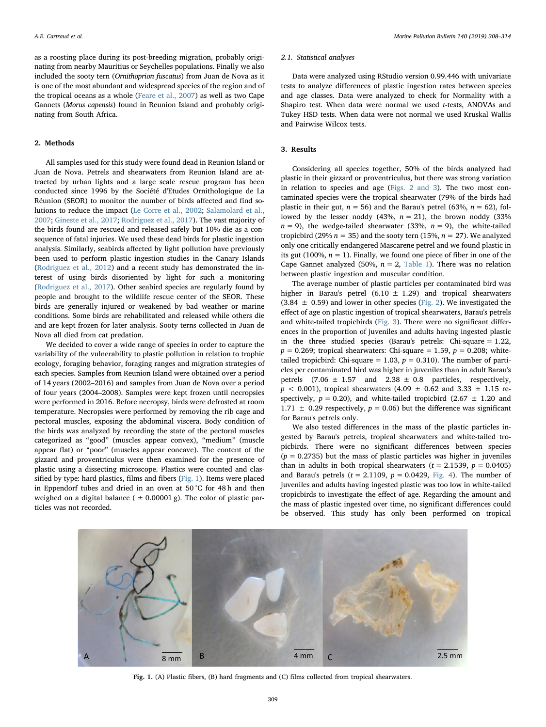as a roosting place during its post-breeding migration, probably originating from nearby Mauritius or Seychelles populations. Finally we also included the sooty tern (Ornithoprion fuscatus) from Juan de Nova as it is one of the most abundant and widespread species of the region and of the tropical oceans as a whole ([Feare et al., 2007\)](#page-5-20) as well as two Cape Gannets (Morus capensis) found in Reunion Island and probably originating from South Africa.

## 2. Methods

All samples used for this study were found dead in Reunion Island or Juan de Nova. Petrels and shearwaters from Reunion Island are attracted by urban lights and a large scale rescue program has been conducted since 1996 by the Société d'Etudes Ornithologique de La Réunion (SEOR) to monitor the number of birds affected and find solutions to reduce the impact [\(Le Corre et al., 2002](#page-5-21); [Salamolard et al.,](#page-5-22) [2007;](#page-5-22) [Gineste et al., 2017](#page-5-23); [Rodriguez et al., 2017](#page-5-24)). The vast majority of the birds found are rescued and released safely but 10% die as a consequence of fatal injuries. We used these dead birds for plastic ingestion analysis. Similarly, seabirds affected by light pollution have previously been used to perform plastic ingestion studies in the Canary Islands ([Rodriguez et al., 2012](#page-5-25)) and a recent study has demonstrated the interest of using birds disoriented by light for such a monitoring ([Rodriguez et al., 2017\)](#page-5-24). Other seabird species are regularly found by people and brought to the wildlife rescue center of the SEOR. These birds are generally injured or weakened by bad weather or marine conditions. Some birds are rehabilitated and released while others die and are kept frozen for later analysis. Sooty terns collected in Juan de Nova all died from cat predation.

We decided to cover a wide range of species in order to capture the variability of the vulnerability to plastic pollution in relation to trophic ecology, foraging behavior, foraging ranges and migration strategies of each species. Samples from Reunion Island were obtained over a period of 14 years (2002–2016) and samples from Juan de Nova over a period of four years (2004–2008). Samples were kept frozen until necropsies were performed in 2016. Before necropsy, birds were defrosted at room temperature. Necropsies were performed by removing the rib cage and pectoral muscles, exposing the abdominal viscera. Body condition of the birds was analyzed by recording the state of the pectoral muscles categorized as "good" (muscles appear convex), "medium" (muscle appear flat) or "poor" (muscles appear concave). The content of the gizzard and proventriculus were then examined for the presence of plastic using a dissecting microscope. Plastics were counted and classified by type: hard plastics, films and fibers ([Fig. 1\)](#page-1-0). Items were placed in Eppendorf tubes and dried in an oven at 50 °C for 48 h and then weighed on a digital balance ( $\pm$  0.00001 g). The color of plastic particles was not recorded.

#### 2.1. Statistical analyses

Data were analyzed using RStudio version 0.99.446 with univariate tests to analyze differences of plastic ingestion rates between species and age classes. Data were analyzed to check for Normality with a Shapiro test. When data were normal we used t-tests, ANOVAs and Tukey HSD tests. When data were not normal we used Kruskal Wallis and Pairwise Wilcox tests.

## 3. Results

Considering all species together, 50% of the birds analyzed had plastic in their gizzard or proventriculus, but there was strong variation in relation to species and age [\(Figs. 2 and 3](#page-2-0)). The two most contaminated species were the tropical shearwater (79% of the birds had plastic in their gut,  $n = 56$ ) and the Barau's petrel (63%,  $n = 62$ ), followed by the lesser noddy (43%,  $n = 21$ ), the brown noddy (33%  $n = 9$ ), the wedge-tailed shearwater (33%,  $n = 9$ ), the white-tailed tropicbird (29%  $n = 35$ ) and the sooty tern (15%,  $n = 27$ ). We analyzed only one critically endangered Mascarene petrel and we found plastic in its gut (100%,  $n = 1$ ). Finally, we found one piece of fiber in one of the Cape Gannet analyzed (50%,  $n = 2$ , [Table 1\)](#page-2-1). There was no relation between plastic ingestion and muscular condition.

The average number of plastic particles per contaminated bird was higher in Barau's petrel (6.10  $\pm$  1.29) and tropical shearwaters  $(3.84 \pm 0.59)$  and lower in other species ([Fig. 2\)](#page-2-0). We investigated the effect of age on plastic ingestion of tropical shearwaters, Barau's petrels and white-tailed tropicbirds [\(Fig. 3\)](#page-2-2). There were no significant differences in the proportion of juveniles and adults having ingested plastic in the three studied species (Barau's petrels: Chi-square = 1.22,  $p = 0.269$ ; tropical shearwaters: Chi-square = 1.59,  $p = 0.208$ ; whitetailed tropicbird: Chi-square = 1.03,  $p = 0.310$ ). The number of particles per contaminated bird was higher in juveniles than in adult Barau's petrels  $(7.06 \pm 1.57$  and  $2.38 \pm 0.8$  particles, respectively,  $p$  < 0.001), tropical shearwaters (4.09  $\pm$  0.62 and 3.33  $\pm$  1.15 respectively,  $p = 0.20$ ), and white-tailed tropicbird (2.67  $\pm$  1.20 and 1.71  $\pm$  0.29 respectively,  $p = 0.06$ ) but the difference was significant for Barau's petrels only.

We also tested differences in the mass of the plastic particles ingested by Barau's petrels, tropical shearwaters and white-tailed tropicbirds. There were no significant differences between species  $(p = 0.2735)$  but the mass of plastic particles was higher in juveniles than in adults in both tropical shearwaters ( $t = 2.1539$ ,  $p = 0.0405$ ) and Barau's petrels  $(t = 2.1109, p = 0.0429, Fig. 4)$  $(t = 2.1109, p = 0.0429, Fig. 4)$ . The number of juveniles and adults having ingested plastic was too low in white-tailed tropicbirds to investigate the effect of age. Regarding the amount and the mass of plastic ingested over time, no significant differences could be observed. This study has only been performed on tropical

<span id="page-1-0"></span>

Fig. 1. (A) Plastic fibers, (B) hard fragments and (C) films collected from tropical shearwaters.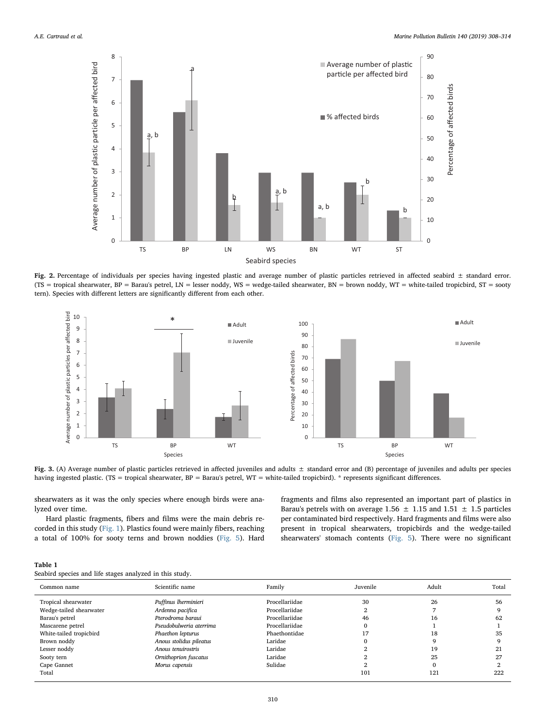<span id="page-2-0"></span>

Fig. 2. Percentage of individuals per species having ingested plastic and average number of plastic particles retrieved in affected seabird  $\pm$  standard error. (TS = tropical shearwater, BP = Barau's petrel, LN = lesser noddy, WS = wedge-tailed shearwater, BN = brown noddy, WT = white-tailed tropicbird, ST = sooty tern). Species with different letters are significantly different from each other.

<span id="page-2-2"></span>

Fig. 3. (A) Average number of plastic particles retrieved in affected juveniles and adults  $\pm$  standard error and (B) percentage of juveniles and adults per species having ingested plastic. (TS = tropical shearwater,  $BP = Barau's$  petrel, WT = white-tailed tropicbird). \* represents significant differences.

shearwaters as it was the only species where enough birds were analyzed over time.

Hard plastic fragments, fibers and films were the main debris recorded in this study [\(Fig. 1](#page-1-0)). Plastics found were mainly fibers, reaching a total of 100% for sooty terns and brown noddies ([Fig. 5\)](#page-3-1). Hard

fragments and films also represented an important part of plastics in Barau's petrels with on average 1.56  $\pm$  1.15 and 1.51  $\pm$  1.5 particles per contaminated bird respectively. Hard fragments and films were also present in tropical shearwaters, tropicbirds and the wedge-tailed shearwaters' stomach contents ([Fig. 5](#page-3-1)). There were no significant

<span id="page-2-1"></span>

| Table 1                                                 |  |  |  |  |
|---------------------------------------------------------|--|--|--|--|
| Seabird species and life stages analyzed in this study. |  |  |  |  |

| Common name             | Scientific name         | Family         | Juvenile | Adult | Total |
|-------------------------|-------------------------|----------------|----------|-------|-------|
| Tropical shearwater     | Puffinus lherminieri    | Procellariidae | 30       | 26    | 56    |
| Wedge-tailed shearwater | Ardenna pacifica        | Procellariidae | o        |       |       |
| Barau's petrel          | Pterodroma baraui       | Procellariidae | 46       | 16    | 62    |
| Mascarene petrel        | Pseudobulweria aterrima | Procellariidae | $\Omega$ |       |       |
| White-tailed tropicbird | Phaethon lepturus       | Phaethontidae  | 17       | 18    | 35    |
| Brown noddy             | Anous stolidus pileatus | Laridae        | O        |       |       |
| Lesser noddy            | Anous tenuirostris      | Laridae        |          | 19    | 21    |
| Sooty tern              | Ornithoprion fuscatus   | Laridae        |          | 25    | 27    |
| Cape Gannet             | Morus capensis          | Sulidae        |          |       |       |
| Total                   |                         |                | 101      | 121   | 222   |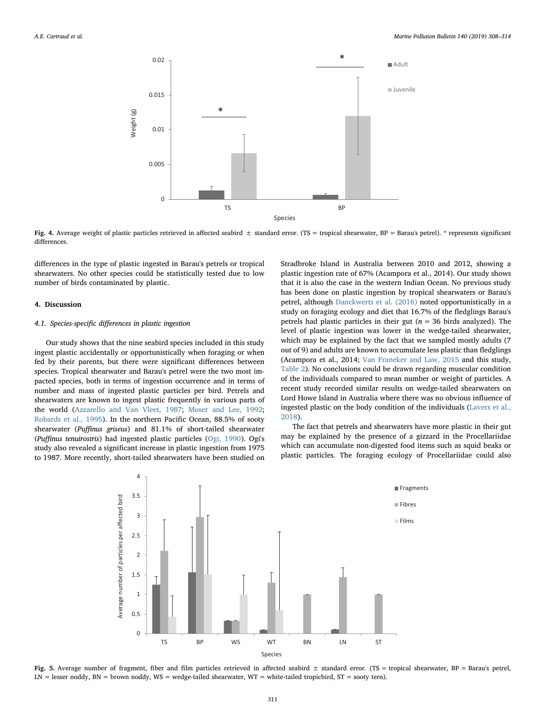<span id="page-3-0"></span>

Fig. 4. Average weight of plastic particles retrieved in affected seabird  $\pm$  standard error. (TS = tropical shearwater, BP = Barau's petrel). \* represents significant differences.

differences in the type of plastic ingested in Barau's petrels or tropical shearwaters. No other species could be statistically tested due to low number of birds contaminated by plastic.

#### 4. Discussion

## 4.1. Species-specific differences in plastic ingestion

Our study shows that the nine seabird species included in this study ingest plastic accidentally or opportunistically when foraging or when fed by their parents, but there were significant differences between species. Tropical shearwater and Barau's petrel were the two most impacted species, both in terms of ingestion occurrence and in terms of number and mass of ingested plastic particles per bird. Petrels and shearwaters are known to ingest plastic frequently in various parts of the world ([Azzarello and Van Vleet, 1987;](#page-5-4) [Moser and Lee, 1992](#page-5-26); [Robards et al., 1995\)](#page-5-27). In the northern Pacific Ocean, 88.5% of sooty shearwater (Puffinus griseus) and 81.1% of short-tailed shearwater (Puffinus tenuirostris) had ingested plastic particles ([Ogi, 1990](#page-5-28)). Ogi's study also revealed a significant increase in plastic ingestion from 1975 to 1987. More recently, short-tailed shearwaters have been studied on

Stradbroke Island in Australia between 2010 and 2012, showing a plastic ingestion rate of 67% (Acampora et al., 2014). Our study shows that it is also the case in the western Indian Ocean. No previous study has been done on plastic ingestion by tropical shearwaters or Barau's petrel, although [Danckwerts et al. \(2016\)](#page-5-29) noted opportunistically in a study on foraging ecology and diet that 16.7% of the fledglings Barau's petrels had plastic particles in their gut ( $n = 36$  birds analyzed). The level of plastic ingestion was lower in the wedge-tailed shearwater, which may be explained by the fact that we sampled mostly adults (7 out of 9) and adults are known to accumulate less plastic than fledglings (Acampora et al., 2014; [Van Franeker and Law, 2015](#page-6-2) and this study, [Table 2\)](#page-4-0). No conclusions could be drawn regarding muscular condition of the individuals compared to mean number or weight of particles. A recent study recorded similar results on wedge-tailed shearwaters on Lord Howe Island in Australia where there was no obvious influence of ingested plastic on the body condition of the individuals [\(Lavers et al.,](#page-5-30) [2018\)](#page-5-30).

The fact that petrels and shearwaters have more plastic in their gut may be explained by the presence of a gizzard in the Procellariidae which can accumulate non-digested food items such as squid beaks or plastic particles. The foraging ecology of Procellariidae could also

<span id="page-3-1"></span>

Fig. 5. Average number of fragment, fiber and film particles retrieved in affected seabird  $\pm$  standard error. (TS = tropical shearwater, BP = Barau's petrel, LN = lesser noddy, BN = brown noddy, WS = wedge-tailed shearwater, WT = white-tailed tropicbird, ST = sooty tern).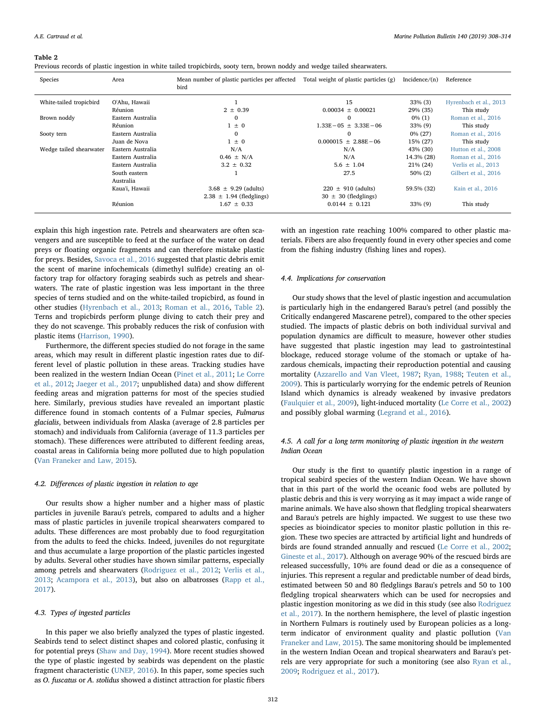#### <span id="page-4-0"></span>Table 2

Previous records of plastic ingestion in white tailed tropicbirds, sooty tern, brown noddy and wedge tailed shearwaters.

| Species                 | Area              | Mean number of plastic particles per affected<br>bird | Total weight of plastic particles (g) | Incidence/ $(n)$ | Reference              |
|-------------------------|-------------------|-------------------------------------------------------|---------------------------------------|------------------|------------------------|
| White-tailed tropicbird | O'Ahu, Hawaii     |                                                       | 15                                    | $33\%$ (3)       | Hyrenbach et al., 2013 |
|                         | Réunion           | $2 \pm 0.39$                                          | $0.00034 \pm 0.00021$                 | 29% (35)         | This study             |
| Brown noddy             | Eastern Australia | $\Omega$                                              | $\Omega$                              | $0\%$ (1)        | Roman et al., 2016     |
|                         | Réunion           | $1 \pm 0$                                             | $1.33E - 05 \pm 3.33E - 06$           | $33\%$ (9)       | This study             |
| Sooty tern              | Eastern Australia | $\Omega$                                              | $\Omega$                              | $0\%$ (27)       | Roman et al., 2016     |
|                         | Juan de Nova      | $1 \pm 0$                                             | $0.000015 + 2.88E - 06$               | 15% (27)         | This study             |
| Wedge tailed shearwater | Eastern Australia | N/A                                                   | N/A                                   | 43% (30)         | Hutton et al., 2008    |
|                         | Eastern Australia | $0.46 \pm N/A$                                        | N/A                                   | 14.3% (28)       | Roman et al., 2016     |
|                         | Eastern Australia | $3.2 \pm 0.32$                                        | $5.6 \pm 1.04$                        | 21\% (24)        | Verlis et al., 2013    |
|                         | South eastern     |                                                       | 27.5                                  | $50\% (2)$       | Gilbert et al., 2016   |
|                         | Australia         |                                                       |                                       |                  |                        |
|                         | Kaua'i, Hawaii    | $3.68 \pm 9.29$ (adults)                              | $220 \pm 910$ (adults)                | 59.5% (32)       | Kain et al., 2016      |
|                         |                   | $2.38 \pm 1.94$ (fledglings)                          | $30 \pm 30$ (fledglings)              |                  |                        |
|                         | Réunion           | $1.67 \pm 0.33$                                       | $0.0144 \pm 0.121$                    | $33\%$ (9)       | This study             |

explain this high ingestion rate. Petrels and shearwaters are often scavengers and are susceptible to feed at the surface of the water on dead preys or floating organic fragments and can therefore mistake plastic for preys. Besides, [Savoca et al., 2016](#page-5-31) suggested that plastic debris emit the scent of marine infochemicals (dimethyl sulfide) creating an olfactory trap for olfactory foraging seabirds such as petrels and shearwaters. The rate of plastic ingestion was less important in the three species of terns studied and on the white-tailed tropicbird, as found in other studies [\(Hyrenbach et al., 2013](#page-5-32); [Roman et al., 2016](#page-5-33), [Table 2](#page-4-0)). Terns and tropicbirds perform plunge diving to catch their prey and they do not scavenge. This probably reduces the risk of confusion with plastic items ([Harrison, 1990](#page-5-34)).

Furthermore, the different species studied do not forage in the same areas, which may result in different plastic ingestion rates due to different level of plastic pollution in these areas. Tracking studies have been realized in the western Indian Ocean ([Pinet et al., 2011;](#page-5-35) [Le Corre](#page-5-36) [et al., 2012](#page-5-36); [Jaeger et al., 2017;](#page-5-37) unpublished data) and show different feeding areas and migration patterns for most of the species studied here. Similarly, previous studies have revealed an important plastic difference found in stomach contents of a Fulmar species, Fulmarus glacialis, between individuals from Alaska (average of 2.8 particles per stomach) and individuals from California (average of 11.3 particles per stomach). These differences were attributed to different feeding areas, coastal areas in California being more polluted due to high population ([Van Franeker and Law, 2015](#page-6-2)).

## 4.2. Differences of plastic ingestion in relation to age

Our results show a higher number and a higher mass of plastic particles in juvenile Barau's petrels, compared to adults and a higher mass of plastic particles in juvenile tropical shearwaters compared to adults. These differences are most probably due to food regurgitation from the adults to feed the chicks. Indeed, juveniles do not regurgitate and thus accumulate a large proportion of the plastic particles ingested by adults. Several other studies have shown similar patterns, especially among petrels and shearwaters ([Rodriguez et al., 2012](#page-5-25); [Verlis et al.,](#page-6-5) [2013;](#page-6-5) [Acampora et al., 2013\)](#page-5-38), but also on albatrosses [\(Rapp et al.,](#page-5-39) [2017\)](#page-5-39).

#### 4.3. Types of ingested particles

In this paper we also briefly analyzed the types of plastic ingested. Seabirds tend to select distinct shapes and colored plastic, confusing it for potential preys ([Shaw and Day, 1994](#page-5-40)). More recent studies showed the type of plastic ingested by seabirds was dependent on the plastic fragment characteristic ([UNEP, 2016\)](#page-5-41). In this paper, some species such as O. fuscatus or A. stolidus showed a distinct attraction for plastic fibers

with an ingestion rate reaching 100% compared to other plastic materials. Fibers are also frequently found in every other species and come from the fishing industry (fishing lines and ropes).

### 4.4. Implications for conservation

Our study shows that the level of plastic ingestion and accumulation is particularly high in the endangered Barau's petrel (and possibly the Critically endangered Mascarene petrel), compared to the other species studied. The impacts of plastic debris on both individual survival and population dynamics are difficult to measure, however other studies have suggested that plastic ingestion may lead to gastrointestinal blockage, reduced storage volume of the stomach or uptake of hazardous chemicals, impacting their reproduction potential and causing mortality ([Azzarello and Van Vleet, 1987;](#page-5-4) [Ryan, 1988;](#page-5-5) [Teuten et al.,](#page-5-6) [2009\)](#page-5-6). This is particularly worrying for the endemic petrels of Reunion Island which dynamics is already weakened by invasive predators ([Faulquier et al., 2009](#page-5-42)), light-induced mortality ([Le Corre et al., 2002\)](#page-5-21) and possibly global warming ([Legrand et al., 2016\)](#page-5-43).

## 4.5. A call for a long term monitoring of plastic ingestion in the western Indian Ocean

Our study is the first to quantify plastic ingestion in a range of tropical seabird species of the western Indian Ocean. We have shown that in this part of the world the oceanic food webs are polluted by plastic debris and this is very worrying as it may impact a wide range of marine animals. We have also shown that fledgling tropical shearwaters and Barau's petrels are highly impacted. We suggest to use these two species as bioindicator species to monitor plastic pollution in this region. These two species are attracted by artificial light and hundreds of birds are found stranded annually and rescued ([Le Corre et al., 2002](#page-5-21); [Gineste et al., 2017\)](#page-5-23). Although on average 90% of the rescued birds are released successfully, 10% are found dead or die as a consequence of injuries. This represent a regular and predictable number of dead birds, estimated between 50 and 80 fledglings Barau's petrels and 50 to 100 fledgling tropical shearwaters which can be used for necropsies and plastic ingestion monitoring as we did in this study (see also [Rodriguez](#page-5-24) [et al., 2017](#page-5-24)). In the northern hemisphere, the level of plastic ingestion in Northern Fulmars is routinely used by European policies as a longterm indicator of environment quality and plastic pollution ([Van](#page-6-2) [Franeker and Law, 2015\)](#page-6-2). The same monitoring should be implemented in the western Indian Ocean and tropical shearwaters and Barau's petrels are very appropriate for such a monitoring (see also [Ryan et al.,](#page-5-44) [2009;](#page-5-44) [Rodriguez et al., 2017\)](#page-5-24).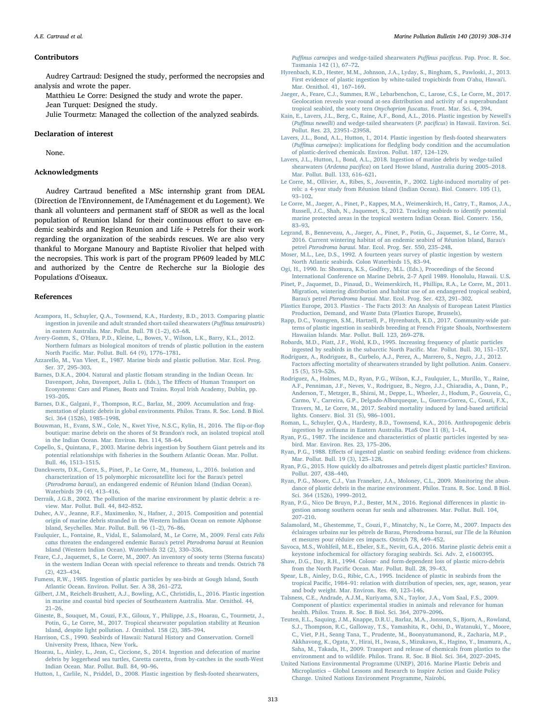#### **Contributors**

Audrey Cartraud: Designed the study, performed the necropsies and analysis and wrote the paper.

Matthieu Le Corre: Designed the study and wrote the paper.

Jean Turquet: Designed the study.

Julie Tourmetz: Managed the collection of the analyzed seabirds.

#### Declaration of interest

None.

#### Acknowledgments

Audrey Cartraud benefited a MSc internship grant from DEAL (Direction de l'Environnement, de l'Aménagement et du Logement). We thank all volunteers and permanent staff of SEOR as well as the local population of Reunion Island for their continuous effort to save endemic seabirds and Region Reunion and Life + Petrels for their work regarding the organization of the seabirds rescues. We are also very thankful to Morgane Manoury and Baptiste Rivolier that helped with the necropsies. This work is part of the program PP609 leaded by MLC and authorized by the Centre de Recherche sur la Biologie des Populations d'Oiseaux.

#### References

- <span id="page-5-38"></span>[Acampora, H., Schuyler, Q.A., Townsend, K.A., Hardesty, B.D., 2013. Comparing plastic](http://refhub.elsevier.com/S0025-326X(19)30085-2/rf0005) [ingestion in juvenile and adult stranded short-tailed shearwaters \(](http://refhub.elsevier.com/S0025-326X(19)30085-2/rf0005)Puffinus tenuirostris) [in eastern Australia. Mar. Pollut. Bull. 78 \(1](http://refhub.elsevier.com/S0025-326X(19)30085-2/rf0005)–2), 63–68.
- <span id="page-5-10"></span>[Avery-Gomm, S., O'Hara, P.D., Kleine, L., Bowes, V., Wilson, L.K., Barry, K.L., 2012.](http://refhub.elsevier.com/S0025-326X(19)30085-2/rf0010) [Northern fulmars as biological monitors of trends of plastic pollution in the eastern](http://refhub.elsevier.com/S0025-326X(19)30085-2/rf0010) North Pacifi[c. Mar. Pollut. Bull. 64 \(9\), 1776](http://refhub.elsevier.com/S0025-326X(19)30085-2/rf0010)–1781.
- <span id="page-5-4"></span>[Azzarello, M., Van Vleet, E., 1987. Marine birds and plastic pollution. Mar. Ecol. Prog.](http://refhub.elsevier.com/S0025-326X(19)30085-2/rf0015) [Ser. 37, 295](http://refhub.elsevier.com/S0025-326X(19)30085-2/rf0015)–303.
- <span id="page-5-16"></span>[Barnes, D.K.A., 2004. Natural and plastic](http://refhub.elsevier.com/S0025-326X(19)30085-2/rf0020) flotsam stranding in the Indian Ocean. In: [Davenport, John, Davenport, Julia L. \(Eds.\), The E](http://refhub.elsevier.com/S0025-326X(19)30085-2/rf0020)ffects of Human Transport on [Ecosystems: Cars and Planes, Boats and Trains. Royal Irish Academy, Dublin, pp.](http://refhub.elsevier.com/S0025-326X(19)30085-2/rf0020) 193–[205](http://refhub.elsevier.com/S0025-326X(19)30085-2/rf0020).
- <span id="page-5-2"></span>[Barnes, D.K., Galgani, F., Thompson, R.C., Barlaz, M., 2009. Accumulation and frag](http://refhub.elsevier.com/S0025-326X(19)30085-2/rf0025)[mentation of plastic debris in global environments. Philos. Trans. R. Soc. Lond. B Biol.](http://refhub.elsevier.com/S0025-326X(19)30085-2/rf0025) [Sci. 364 \(1526\), 1985](http://refhub.elsevier.com/S0025-326X(19)30085-2/rf0025)–1998.
- <span id="page-5-18"></span>[Bouwman, H., Evans, S.W., Cole, N., Kwet Yive, N.S.C., Kylin, H., 2016. The](http://refhub.elsevier.com/S0025-326X(19)30085-2/rf0030) flip-or-flop [boutique: marine debris on the shores of St Brandon's rock, an isolated tropical atoll](http://refhub.elsevier.com/S0025-326X(19)30085-2/rf0030) [in the Indian Ocean. Mar. Environ. Res. 114, 58](http://refhub.elsevier.com/S0025-326X(19)30085-2/rf0030)–64.
- <span id="page-5-13"></span>[Copello, S., Quintana, F., 2003. Marine debris ingestion by Southern Giant petrels and its](http://refhub.elsevier.com/S0025-326X(19)30085-2/rf0035) potential relationships with fi[sheries in the Southern Atlantic Ocean. Mar. Pollut.](http://refhub.elsevier.com/S0025-326X(19)30085-2/rf0035) [Bull. 46, 1513](http://refhub.elsevier.com/S0025-326X(19)30085-2/rf0035)–1515.
- <span id="page-5-29"></span>[Danckwerts, D.K., Corre, S., Pinet, P., Le Corre, M., Humeau, L., 2016. Isolation and](http://refhub.elsevier.com/S0025-326X(19)30085-2/rf0040) [characterization of 15 polymorphic microsatellite loci for the Barau's petrel](http://refhub.elsevier.com/S0025-326X(19)30085-2/rf0040) (Pterodroma baraui[\), an endangered endemic of Réunion Island \(Indian Ocean\).](http://refhub.elsevier.com/S0025-326X(19)30085-2/rf0040) [Waterbirds 39 \(4\), 413](http://refhub.elsevier.com/S0025-326X(19)30085-2/rf0040)–416.
- <span id="page-5-0"></span>[Derraik, J.G.B., 2002. The pollution of the marine environment by plastic debris: a re](http://refhub.elsevier.com/S0025-326X(19)30085-2/rf0045)[view. Mar. Pollut. Bull. 44, 842](http://refhub.elsevier.com/S0025-326X(19)30085-2/rf0045)–852.
- <span id="page-5-17"></span>[Duhec, A.V., Jeanne, R.F., Maximenko, N., Hafner, J., 2015. Composition and potential](http://refhub.elsevier.com/S0025-326X(19)30085-2/rf0050) [origin of marine debris stranded in the Western Indian Ocean on remote Alphonse](http://refhub.elsevier.com/S0025-326X(19)30085-2/rf0050) [Island, Seychelles. Mar. Pollut. Bull. 96 \(1](http://refhub.elsevier.com/S0025-326X(19)30085-2/rf0050)–2), 76–86.
- <span id="page-5-42"></span>[Faulquier, L., Fontaine, R., Vidal, E., Salamolard, M., Le Corre, M., 2009. Feral cats](http://refhub.elsevier.com/S0025-326X(19)30085-2/rf0055) Felis catus [threaten the endangered endemic Barau's petrel](http://refhub.elsevier.com/S0025-326X(19)30085-2/rf0055) Pterodroma baraui at Reunion [Island \(Western Indian Ocean\). Waterbirds 32 \(2\), 330](http://refhub.elsevier.com/S0025-326X(19)30085-2/rf0055)–336.
- <span id="page-5-20"></span>[Feare, C.J., Jaquemet, S., Le Corre, M., 2007. An inventory of sooty terns \(Sterna fuscata\)](http://refhub.elsevier.com/S0025-326X(19)30085-2/rf0060) [in the western Indian Ocean with special reference to threats and trends. Ostrich 78](http://refhub.elsevier.com/S0025-326X(19)30085-2/rf0060) [\(2\), 423](http://refhub.elsevier.com/S0025-326X(19)30085-2/rf0060)–434.
- <span id="page-5-8"></span>[Fumess, R.W., 1985. Ingestion of plastic particles by sea-birds at Gough Island, South](http://refhub.elsevier.com/S0025-326X(19)30085-2/rf0065) [Atlantic Ocean. Environ. Pollut. Ser. A 38, 261](http://refhub.elsevier.com/S0025-326X(19)30085-2/rf0065)–272.
- <span id="page-5-14"></span>Gilbert, [J.M., Reichelt-Brushett, A.J., Bowling, A.C., Christidis, L., 2016. Plastic ingestion](http://refhub.elsevier.com/S0025-326X(19)30085-2/rf0070) [in marine and coastal bird species of Southeastern Australia. Mar. Ornithol. 44,](http://refhub.elsevier.com/S0025-326X(19)30085-2/rf0070) 21–[26](http://refhub.elsevier.com/S0025-326X(19)30085-2/rf0070).
- <span id="page-5-23"></span>[Gineste, B., Souquet, M., Couzi, F.X., Giloux, Y., Philippe, J.S., Hoarau, C., Tourmetz, J.,](http://refhub.elsevier.com/S0025-326X(19)30085-2/rf0075) [Potin, G., Le Corre, M., 2017. Tropical shearwater population stability at Reunion](http://refhub.elsevier.com/S0025-326X(19)30085-2/rf0075) [Island, despite light pollution. J. Ornithol. 158 \(2\), 385](http://refhub.elsevier.com/S0025-326X(19)30085-2/rf0075)–394.
- <span id="page-5-34"></span>[Harrison, C.S., 1990. Seabirds of Hawaii: Natural History and Conservation. Cornell](http://refhub.elsevier.com/S0025-326X(19)30085-2/rf0080) [University Press, Ithaca, New York.](http://refhub.elsevier.com/S0025-326X(19)30085-2/rf0080)
- <span id="page-5-19"></span>[Hoarau, L., Ainley, L., Jean, C., Ciccione, S., 2014. Ingestion and defecation of marine](http://refhub.elsevier.com/S0025-326X(19)30085-2/rf0085) [debris by loggerhead sea turtles, Caretta caretta, from by-catches in the south-West](http://refhub.elsevier.com/S0025-326X(19)30085-2/rf0085) [Indian Ocean. Mar. Pollut. Bull. 84, 90](http://refhub.elsevier.com/S0025-326X(19)30085-2/rf0085)–96.
- <span id="page-5-45"></span>[Hutton, I., Carlile, N., Priddel, D., 2008. Plastic ingestion by](http://refhub.elsevier.com/S0025-326X(19)30085-2/rf0090) flesh-footed shearwaters,

Puffinus carneipes [and wedge-tailed shearwaters](http://refhub.elsevier.com/S0025-326X(19)30085-2/rf0090) Puffinus pacificus. Pap. Proc. R. Soc. [Tasmania 142 \(1\), 67](http://refhub.elsevier.com/S0025-326X(19)30085-2/rf0090)–72.

- <span id="page-5-32"></span>[Hyrenbach, K.D., Hester, M.M., Johnson, J.A., Lyday, S., Bingham, S., Pawloski, J., 2013.](http://refhub.elsevier.com/S0025-326X(19)30085-2/rf0095) [First evidence of plastic ingestion by white-tailed tropicbirds from O'ahu, Hawai'i.](http://refhub.elsevier.com/S0025-326X(19)30085-2/rf0095) [Mar. Ornithol. 41, 167](http://refhub.elsevier.com/S0025-326X(19)30085-2/rf0095)–169.
- <span id="page-5-37"></span>[Jaeger, A., Feare, C.J., Summes, R.W., Lebarbenchon, C., Larose, C.S., Le Corre, M., 2017.](http://refhub.elsevier.com/S0025-326X(19)30085-2/rf0100) [Geolocation reveals year-round at-sea distribution and activity of a superabundant](http://refhub.elsevier.com/S0025-326X(19)30085-2/rf0100) [tropical seabird, the sooty tern](http://refhub.elsevier.com/S0025-326X(19)30085-2/rf0100) Onychoprion fuscatus. Front. Mar. Sci. 4, 394.
- <span id="page-5-46"></span>[Kain, E., Lavers, J.L., Berg, C., Raine, A.F., Bond, A.L., 2016. Plastic ingestion by Newell's](http://refhub.elsevier.com/S0025-326X(19)30085-2/rf0105) (Puffinus newelli[\) and wedge-tailed shearwaters \(](http://refhub.elsevier.com/S0025-326X(19)30085-2/rf0105)P. pacificus) in Hawaii. Environ. Sci. [Pollut. Res. 23, 23951](http://refhub.elsevier.com/S0025-326X(19)30085-2/rf0105)–23958.
- <span id="page-5-7"></span>[Lavers, J.L., Bond, A.L., Hutton, I., 2014. Plastic ingestion by](http://refhub.elsevier.com/S0025-326X(19)30085-2/rf0110) flesh-footed shearwaters (Puffinus carneipes): implications for fl[edgling body condition and the accumulation](http://refhub.elsevier.com/S0025-326X(19)30085-2/rf0110) [of plastic-derived chemicals. Environ. Pollut. 187, 124](http://refhub.elsevier.com/S0025-326X(19)30085-2/rf0110)–129.
- <span id="page-5-30"></span>[Lavers, J.L., Hutton, I., Bond, A.L., 2018. Ingestion of marine debris by wedge-tailed](http://refhub.elsevier.com/S0025-326X(19)30085-2/rf0115) shearwaters (Ardenna pacifica[\) on Lord Howe Island, Australia during 2005](http://refhub.elsevier.com/S0025-326X(19)30085-2/rf0115)–2018. [Mar. Pollut. Bull. 133, 616](http://refhub.elsevier.com/S0025-326X(19)30085-2/rf0115)–621.
- <span id="page-5-21"></span>[Le Corre, M., Ollivier, A., Ribes, S., Jouventin, P., 2002. Light-induced mortality of pet](http://refhub.elsevier.com/S0025-326X(19)30085-2/rf0120)[rels: a 4-year study from Réunion Island \(Indian Ocean\). Biol. Conserv. 105 \(1\),](http://refhub.elsevier.com/S0025-326X(19)30085-2/rf0120) 93–[102.](http://refhub.elsevier.com/S0025-326X(19)30085-2/rf0120)
- <span id="page-5-36"></span>[Le Corre, M., Jaeger, A., Pinet, P., Kappes, M.A., Weimerskirch, H., Catry, T., Ramos, J.A.,](http://refhub.elsevier.com/S0025-326X(19)30085-2/rf0125) [Russell, J.C., Shah, N., Jaquemet, S., 2012. Tracking seabirds to identify potential](http://refhub.elsevier.com/S0025-326X(19)30085-2/rf0125) [marine protected areas in the tropical western Indian Ocean. Biol. Conserv. 156,](http://refhub.elsevier.com/S0025-326X(19)30085-2/rf0125) 83–[93](http://refhub.elsevier.com/S0025-326X(19)30085-2/rf0125).
- <span id="page-5-43"></span>[Legrand, B., Benneveau, A., Jaeger, A., Pinet, P., Potin, G., Jaquemet, S., Le Corre, M.,](http://refhub.elsevier.com/S0025-326X(19)30085-2/rf0130) [2016. Current wintering habitat of an endemic seabird of Réunion Island, Barau's](http://refhub.elsevier.com/S0025-326X(19)30085-2/rf0130) petrel Pterodroma baraui[. Mar. Ecol. Prog. Ser. 550, 235](http://refhub.elsevier.com/S0025-326X(19)30085-2/rf0130)–248.
- <span id="page-5-26"></span>[Moser, M.L., Lee, D.S., 1992. A fourteen years survey of plastic ingestion by western](http://refhub.elsevier.com/S0025-326X(19)30085-2/rf0135) [North Atlantic seabirds. Colon Waterbirds 15, 83](http://refhub.elsevier.com/S0025-326X(19)30085-2/rf0135)–94.
- <span id="page-5-28"></span>[Ogi, H., 1990. In: Shomura, K.S., Godfrey, M.L. \(Eds.\), Proceedings of the Second](http://refhub.elsevier.com/S0025-326X(19)30085-2/rf0140) [International Conference on Marine Debris, 2](http://refhub.elsevier.com/S0025-326X(19)30085-2/rf0140)–7 April 1989. Honolulu, Hawaii. U.S.
- <span id="page-5-35"></span>[Pinet, P., Jaquemet, D., Pinaud, D., Weimerskirch, H., Phillips, R.A., Le Corre, M., 2011.](http://refhub.elsevier.com/S0025-326X(19)30085-2/rf0145) [Migration, wintering distribution and habitat use of an endangered tropical seabird,](http://refhub.elsevier.com/S0025-326X(19)30085-2/rf0145) Barau's petrel Pterodroma baraui[. Mar. Ecol. Prog. Ser. 423, 291](http://refhub.elsevier.com/S0025-326X(19)30085-2/rf0145)–302.
- <span id="page-5-1"></span>[Plastics Europe, 2013. Plastics - The Facts 2013: An Analysis of European Latest Plastics](http://refhub.elsevier.com/S0025-326X(19)30085-2/rf0150) [Production, Demand, and Waste Data \(Plastics Europe, Brussels\)](http://refhub.elsevier.com/S0025-326X(19)30085-2/rf0150).
- <span id="page-5-39"></span>[Rapp, D.C., Youngren, S.M., Hartzell, P., Hyrenbatch, K.D., 2017. Community-wide pat](http://refhub.elsevier.com/S0025-326X(19)30085-2/rf0155)[terns of plastic ingestion in seabirds breeding at French Frigate Shoals, Northwestern](http://refhub.elsevier.com/S0025-326X(19)30085-2/rf0155) [Hawaiian Islands. Mar. Pollut. Bull. 123, 269](http://refhub.elsevier.com/S0025-326X(19)30085-2/rf0155)–278.
- <span id="page-5-27"></span>[Robards, M.D., Piatt, J.F., Wohl, K.D., 1995. Increasing frequency of plastic particles](http://refhub.elsevier.com/S0025-326X(19)30085-2/rf0160) [ingested by seabirds in the subarctic North Paci](http://refhub.elsevier.com/S0025-326X(19)30085-2/rf0160)fic. Mar. Pollut. Bull. 30, 151–157.
- <span id="page-5-25"></span>[Rodriguez, A., Rodriguez, B., Curbelo, A.J., Perez, A., Marrero, S., Negro, J.J., 2012.](http://refhub.elsevier.com/S0025-326X(19)30085-2/rf0165)
- Factors aff[ecting mortality of shearwaters stranded by light pollution. Anim. Conserv.](http://refhub.elsevier.com/S0025-326X(19)30085-2/rf0165) [15 \(5\), 519](http://refhub.elsevier.com/S0025-326X(19)30085-2/rf0165)–526.
- <span id="page-5-24"></span>[Rodriguez, A., Holmes, M.D., Ryan, P.G., Wilson, K.J., Faulquier, L., Murillo, Y., Raine,](http://refhub.elsevier.com/S0025-326X(19)30085-2/rf0170) [A.F., Penniman, J.F., Neves, V., Rodriguez, B., Negro, J.J., Chiaradia, A., Dann, P.,](http://refhub.elsevier.com/S0025-326X(19)30085-2/rf0170) [Anderson, T., Metzger, B., Shirai, M., Deppe, L., Wheeler, J., Hodum, P., Gouveia, C.,](http://refhub.elsevier.com/S0025-326X(19)30085-2/rf0170) [Carmo, V., Carreira, G.P., Delgado-Alburqueque, L., Guerra-Correa, C., Couzi, F.X.,](http://refhub.elsevier.com/S0025-326X(19)30085-2/rf0170) [Travers, M., Le Corre, M., 2017. Seabird mortality induced by land-based arti](http://refhub.elsevier.com/S0025-326X(19)30085-2/rf0170)ficial [lights. Conserv. Biol. 31 \(5\), 986](http://refhub.elsevier.com/S0025-326X(19)30085-2/rf0170)–1001.
- <span id="page-5-33"></span>[Roman, L., Schuyler, Q.A., Hardesty, B.D., Townsend, K.A., 2016. Anthropogenic debris](http://refhub.elsevier.com/S0025-326X(19)30085-2/rf0175) [ingestion by avifauna in Eastern Australia. PLoS One 11 \(8\), 1](http://refhub.elsevier.com/S0025-326X(19)30085-2/rf0175)–14.
- <span id="page-5-11"></span>[Ryan, P.G., 1987. The incidence and characteristics of plastic particles ingested by sea](http://refhub.elsevier.com/S0025-326X(19)30085-2/rf0180)[bird. Mar. Environ. Res. 23, 175](http://refhub.elsevier.com/S0025-326X(19)30085-2/rf0180)–206.
- <span id="page-5-5"></span>Ryan, P.G., 1988. Eff[ects of ingested plastic on seabird feeding: evidence from chickens.](http://refhub.elsevier.com/S0025-326X(19)30085-2/rf0185) [Mar. Pollut. Bull. 19 \(3\), 125](http://refhub.elsevier.com/S0025-326X(19)30085-2/rf0185)–128.
- <span id="page-5-9"></span>[Ryan, P.G., 2015. How quickly do albatrosses and petrels digest plastic particles? Environ.](http://refhub.elsevier.com/S0025-326X(19)30085-2/rf0190) [Pollut. 207, 438](http://refhub.elsevier.com/S0025-326X(19)30085-2/rf0190)–440.
- <span id="page-5-44"></span>[Ryan, P.G., Moore, C.J., Van Franeker, J.A., Moloney, C.L., 2009. Monitoring the abun](http://refhub.elsevier.com/S0025-326X(19)30085-2/rf0195)[dance of plastic debris in the marine environment. Philos. Trans. R. Soc. Lond. B Biol.](http://refhub.elsevier.com/S0025-326X(19)30085-2/rf0195) [Sci. 364 \(1526\), 1999](http://refhub.elsevier.com/S0025-326X(19)30085-2/rf0195)–2012.
- <span id="page-5-12"></span>[Ryan, P.G., Nico De Bruyn, P.J., Bester, M.N., 2016. Regional di](http://refhub.elsevier.com/S0025-326X(19)30085-2/rf0200)fferences in plastic in[gestion among southern ocean fur seals and albatrosses. Mar. Pollut. Bull. 104,](http://refhub.elsevier.com/S0025-326X(19)30085-2/rf0200) 207–[210](http://refhub.elsevier.com/S0025-326X(19)30085-2/rf0200).
- <span id="page-5-22"></span>[Salamolard, M., Ghestemme, T., Couzi, F., Minatchy, N., Le Corre, M., 2007. Impacts des](http://refhub.elsevier.com/S0025-326X(19)30085-2/rf0205) [éclairages urbains sur les pétrels de Barau, Pterodroma baraui, sur l'Ile de la Réunion](http://refhub.elsevier.com/S0025-326X(19)30085-2/rf0205) [et mesures pour réduire ces impacts. Ostrich 78, 449](http://refhub.elsevier.com/S0025-326X(19)30085-2/rf0205)–452.
- <span id="page-5-31"></span>[Savoca, M.S., Wohlfeil, M.E., Ebeler, S.E., Nevitt, G.A., 2016. Marine plastic debris emit a](http://refhub.elsevier.com/S0025-326X(19)30085-2/rf0210) [keystone infochemical for olfactory foraging seabirds. Sci. Adv. 2, e1600395.](http://refhub.elsevier.com/S0025-326X(19)30085-2/rf0210)
- <span id="page-5-40"></span>Shaw, [D.G., Day, R.H., 1994. Colour- and form-dependent loss of plastic micro-debris](http://refhub.elsevier.com/S0025-326X(19)30085-2/rf0215) from the North Pacifi[c Ocean. Mar. Pollut. Bull. 28, 39](http://refhub.elsevier.com/S0025-326X(19)30085-2/rf0215)–43.
- <span id="page-5-15"></span>[Spear, L.B., Ainley, D.G., Ribic, C.A., 1995. Incidence of plastic in seabirds from the](http://refhub.elsevier.com/S0025-326X(19)30085-2/rf0220) tropical Pacific, 1984–[91: relation with distribution of species, sex, age, season, year](http://refhub.elsevier.com/S0025-326X(19)30085-2/rf0220) [and body weight. Mar. Environ. Res. 40, 123](http://refhub.elsevier.com/S0025-326X(19)30085-2/rf0220)–146.
- <span id="page-5-3"></span>[Talsness, C.E., Andrade, A.J.M., Kuriyama, S.N., Taylor, J.A., Vom Saal, F.S., 2009.](http://refhub.elsevier.com/S0025-326X(19)30085-2/rf0225) [Component of plastics: experimental studies in animals and relevance for human](http://refhub.elsevier.com/S0025-326X(19)30085-2/rf0225) [health. Philos. Trans. R. Soc. B Biol. Sci. 364, 2079](http://refhub.elsevier.com/S0025-326X(19)30085-2/rf0225)–2096.
- <span id="page-5-6"></span>[Teuten, E.L., Saquing, J.M., Knappe, D.R.U., Barlaz, M.A., Jonsson, S., Bjorn, A., Rowland,](http://refhub.elsevier.com/S0025-326X(19)30085-2/rf0230) [S.J., Thompson, R.C., Galloway, T.S., Yamashita, R., Ochi, D., Watanuki, Y., Moore,](http://refhub.elsevier.com/S0025-326X(19)30085-2/rf0230) [C., Viet, P.H., Seang Tana, T., Prudente, M., Boonyatumanond, R., Zacharia, M.P.,](http://refhub.elsevier.com/S0025-326X(19)30085-2/rf0230) [Akkhavong, K., Ogata, Y., Hirai, H., Iwasa, S., Mizukawa, K., Hagino, Y., Imamura, A.,](http://refhub.elsevier.com/S0025-326X(19)30085-2/rf0230) [Saha, M., Takada, H., 2009. Transport and release of chemicals from plastics to the](http://refhub.elsevier.com/S0025-326X(19)30085-2/rf0230) [environment and to wildlife. Philos. Trans. R. Soc. B Biol. Sci. 364, 2027](http://refhub.elsevier.com/S0025-326X(19)30085-2/rf0230)–2045.
- <span id="page-5-41"></span>[United Nations Environmental Programme \(UNEP\), 2016. Marine Plastic Debris and](http://refhub.elsevier.com/S0025-326X(19)30085-2/rf0235) Microplastics – [Global Lessons and Research to Inspire Action and Guide Policy](http://refhub.elsevier.com/S0025-326X(19)30085-2/rf0235) [Change. United Nations Environment Programme, Nairobi.](http://refhub.elsevier.com/S0025-326X(19)30085-2/rf0235)